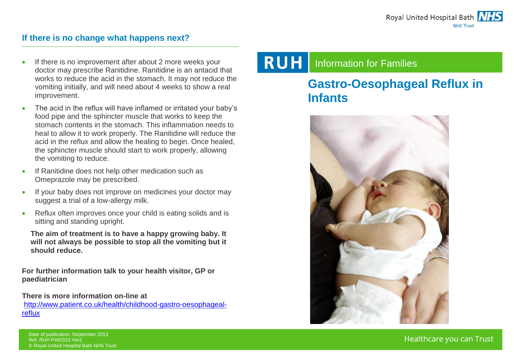#### **If there is no change what happens next?**

- If there is no improvement after about 2 more weeks your doctor may prescribe Ranitidine. Ranitidine is an antacid that works to reduce the acid in the stomach. It may not reduce the vomiting initially, and will need about 4 weeks to show a real improvement.
- The acid in the reflux will have inflamed or irritated your baby's food pipe and the sphincter muscle that works to keep the stomach contents in the stomach. This inflammation needs to heal to allow it to work properly. The Ranitidine will reduce the acid in the reflux and allow the healing to begin. Once healed, the sphincter muscle should start to work properly, allowing the vomiting to reduce.
- If Ranitidine does not help other medication such as Omeprazole may be prescribed.
- If your baby does not improve on medicines your doctor may suggest a trial of a low-allergy milk.
- Reflux often improves once your child is eating solids and is sitting and standing upright.

**The aim of treatment is to have a happy growing baby. It will not always be possible to stop all the vomiting but it should reduce.**

**For further information talk to your health visitor, GP or paediatrician**

**There is more information on-line at** [http://www.patient.co.uk/health/childhood-gastro-oesophageal](http://www.patient.co.uk/health/childhood-gastro-oesophageal-reflux)[reflux](http://www.patient.co.uk/health/childhood-gastro-oesophageal-reflux)

#### **RUH** Information for Families

# **Gastro-Oesophageal Reflux in Infants**